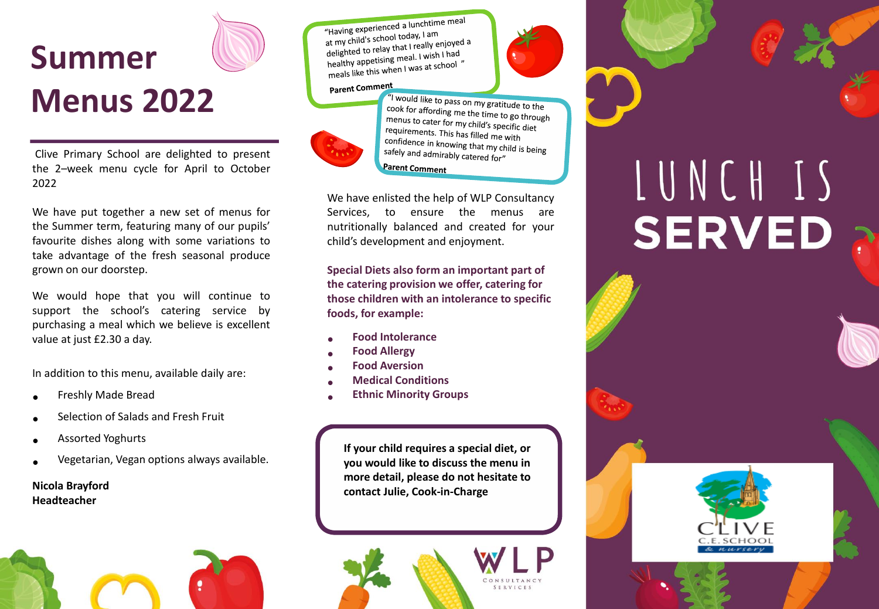

Clive Primary School are delighted to present the 2–week menu cycle for April to October 2022

We have put together a new set of menus for the Summer term, featuring many of our pupils' favourite dishes along with some variations to take advantage of the fresh seasonal produce grown on our doorstep.

We would hope that you will continue to support the school's catering service by purchasing a meal which we believe is excellent value at just £2.30 a day.

In addition to this menu, available daily are:

- Freshly Made Bread
- Selection of Salads and Fresh Fruit
- Assorted Yoghurts
- Vegetarian, Vegan options always available.

## **Nicola Brayford Headteacher**



"Having experienced a lunchtime meal "Having experienced a laner"<br>at my child's school today, I am at my child's school today, ram<br>delighted to relay that I really enjoyed a<br>delighted to relay that I wish I had delighted to relay that I really enjoy<br>healthy appetising meal. I wish I had<br>healthy appetising meal. I was at school healthy appetising meal. I wish the<br>meals like this when I was at school "

## Parent Comment



"I would like to pass on my gratitude to the cook for affording me the time to go through<br>menus to cater for my child'. menus to cater for my child's specific diet<br>requirements. This has fill in the requirements requirements. This has filled me with confidence in knowing that my child is being<br>safely and admirably set. safely and admirably catered for" **Parent Comment** 

We have enlisted the help of WLP Consultancy Services, to ensure the menus are nutritionally balanced and created for your child's development and enjoyment.

**Special Diets also form an important part of the catering provision we offer, catering for those children with an intolerance to specific foods, for example:**

- **Food Intolerance**
- **Food Allergy**
- **Food Aversion**
- **Medical Conditions**
- **Ethnic Minority Groups**

**If your child requires a special diet, or you would like to discuss the menu in more detail, please do not hesitate to contact Julie, Cook-in-Charge**



## LUNCH IS **SERVED**